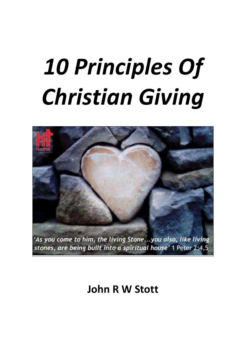# *10 Principles Of Christian Giving*



# **John R W Stott**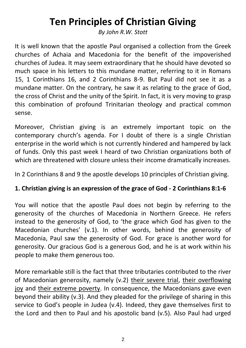# **Ten Principles of Christian Giving**

*By John R.W. Stott*

It is well known that the apostle Paul organised a collection from the Greek churches of Achaia and Macedonia for the benefit of the impoverished churches of Judea. It may seem extraordinary that he should have devoted so much space in his letters to this mundane matter, referring to it in Romans 15, 1 Corinthians 16, and 2 Corinthians 8-9. But Paul did not see it as a mundane matter. On the contrary, he saw it as relating to the grace of God, the cross of Christ and the unity of the Spirit. In fact, it is very moving to grasp this combination of profound Trinitarian theology and practical common sense.

Moreover, Christian giving is an extremely important topic on the contemporary church's agenda. For I doubt of there is a single Christian enterprise in the world which is not currently hindered and hampered by lack of funds. Only this past week I heard of two Christian organizations both of which are threatened with closure unless their income dramatically increases.

In 2 Corinthians 8 and 9 the apostle develops 10 principles of Christian giving.

## **1. Christian giving is an expression of the grace of God - 2 Corinthians 8:1-6**

You will notice that the apostle Paul does not begin by referring to the generosity of the churches of Macedonia in Northern Greece. He refers instead to the generosity of God, to 'the grace which God has given to the Macedonian churches' (v.1). In other words, behind the generosity of Macedonia, Paul saw the generosity of God. For grace is another word for generosity. Our gracious God is a generous God, and he is at work within his people to make them generous too.

More remarkable still is the fact that three tributaries contributed to the river of Macedonian generosity, namely (v.2) their severe trial, their overflowing joy and their extreme poverty. In consequence, the Macedonians gave even beyond their ability (v.3). And they pleaded for the privilege of sharing in this service to God's people in Judea (v.4). Indeed, they gave themselves first to the Lord and then to Paul and his apostolic band (v.5). Also Paul had urged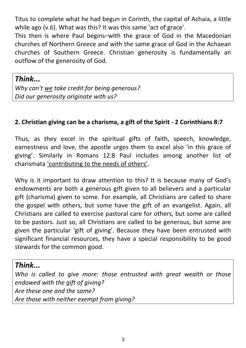Titus to complete what he had begun in Corinth, the capital of Achaia, a little while ago (v.6). What was this? It was this same 'act of grace'.

This then is where Paul begins–with the grace of God in the Macedonian churches of Northern Greece and with the same grace of God in the Achaean churches of Southern Greece. Christian generosity is fundamentally an outflow of the generosity of God.

# *Think...*

*Why can't we take credit for being generous? Did our generosity originate with us?*

#### **2. Christian giving can be a charisma, a gift of the Spirit - 2 Corinthians 8:7**

Thus, as they excel in the spiritual gifts of faith, speech, knowledge, earnestness and love, the apostle urges them to excel also 'in this grace of giving'. Similarly in Romans 12:8 Paul includes among another list of charismata 'contributing to the needs of others'.

Why is it important to draw attention to this? It is because many of God's endowments are both a generous gift given to all believers and a particular gift (charisma) given to some. For example, all Christians are called to share the gospel with others, but some have the gift of an evangelist. Again, all Christians are called to exercise pastoral care for others, but some are called to be pastors. Just so, all Christians are called to be generous, but some are given the particular 'gift of giving'. Because they have been entrusted with significant financial resources, they have a special responsibility to be good stewards for the common good.

# *Think...*

*Who is called to give more: those entrusted with great wealth or those endowed with the gift of giving? Are these one and the same? Are those with neither exempt from giving?*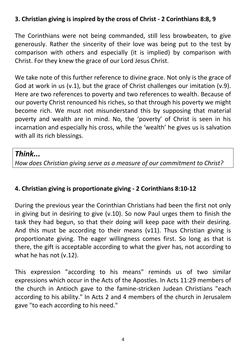#### **3. Christian giving is inspired by the cross of Christ - 2 Corinthians 8:8, 9**

The Corinthians were not being commanded, still less browbeaten, to give generously. Rather the sincerity of their love was being put to the test by comparison with others and especially (it is implied) by comparison with Christ. For they knew the grace of our Lord Jesus Christ.

We take note of this further reference to divine grace. Not only is the grace of God at work in us (v.1), but the grace of Christ challenges our imitation (v.9). Here are two references to poverty and two references to wealth. Because of our poverty Christ renounced his riches, so that through his poverty we might become rich. We must not misunderstand this by supposing that material poverty and wealth are in mind. No, the 'poverty' of Christ is seen in his incarnation and especially his cross, while the 'wealth' he gives us is salvation with all its rich blessings.

# *Think...*

*How does Christian giving serve as a measure of our commitment to Christ?*

#### **4. Christian giving is proportionate giving - 2 Corinthians 8:10-12**

During the previous year the Corinthian Christians had been the first not only in giving but in desiring to give (v.10). So now Paul urges them to finish the task they had begun, so that their doing will keep pace with their desiring. And this must be according to their means (v11). Thus Christian giving is proportionate giving. The eager willingness comes first. So long as that is there, the gift is acceptable according to what the giver has, not according to what he has not (v.12).

This expression "according to his means" reminds us of two similar expressions which occur in the Acts of the Apostles. In Acts 11:29 members of the church in Antioch gave to the famine-stricken Judean Christians "each according to his ability." In Acts 2 and 4 members of the church in Jerusalem gave "to each according to his need."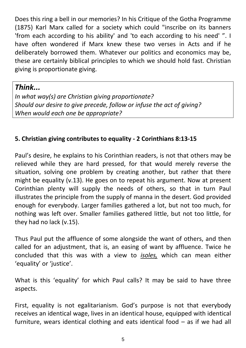Does this ring a bell in our memories? In his Critique of the Gotha Programme (1875) Karl Marx called for a society which could "inscribe on its banners 'from each according to his ability' and 'to each according to his need' ". I have often wondered if Marx knew these two verses in Acts and if he deliberately borrowed them. Whatever our politics and economics may be, these are certainly biblical principles to which we should hold fast. Christian giving is proportionate giving.

*Think...*

*In what way(s) are Christian giving proportionate? Should our desire to give precede, follow or infuse the act of giving? When would each one be appropriate?*

## **5. Christian giving contributes to equality - 2 Corinthians 8:13-15**

Paul's desire, he explains to his Corinthian readers, is not that others may be relieved while they are hard pressed, for that would merely reverse the situation, solving one problem by creating another, but rather that there might be equality (v.13). He goes on to repeat his argument. Now at present Corinthian plenty will supply the needs of others, so that in turn Paul illustrates the principle from the supply of manna in the desert. God provided enough for everybody. Larger families gathered a lot, but not too much, for nothing was left over. Smaller families gathered little, but not too little, for they had no lack (v.15).

Thus Paul put the affluence of some alongside the want of others, and then called for an adjustment, that is, an easing of want by affluence. Twice he concluded that this was with a view to *isoles,* which can mean either 'equality' or 'justice'.

What is this 'equality' for which Paul calls? It may be said to have three aspects.

First, equality is not egalitarianism. God's purpose is not that everybody receives an identical wage, lives in an identical house, equipped with identical furniture, wears identical clothing and eats identical food – as if we had all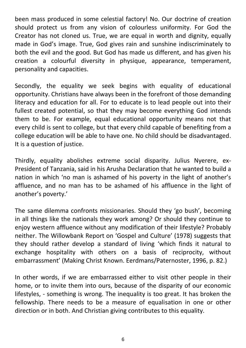been mass produced in some celestial factory! No. Our doctrine of creation should protect us from any vision of colourless uniformity. For God the Creator has not cloned us. True, we are equal in worth and dignity, equally made in God's image. True, God gives rain and sunshine indiscriminately to both the evil and the good. But God has made us different, and has given his creation a colourful diversity in physique, appearance, temperament, personality and capacities.

Secondly, the equality we seek begins with equality of educational opportunity. Christians have always been in the forefront of those demanding literacy and education for all. For to educate is to lead people out into their fullest created potential, so that they may become everything God intends them to be. For example, equal educational opportunity means not that every child is sent to college, but that every child capable of benefiting from a college education will be able to have one. No child should be disadvantaged. It is a question of justice.

Thirdly, equality abolishes extreme social disparity. Julius Nyerere, ex-President of Tanzania, said in his Arusha Declaration that he wanted to build a nation in which 'no man is ashamed of his poverty in the light of another's affluence, and no man has to be ashamed of his affluence in the light of another's poverty.'

The same dilemma confronts missionaries. Should they 'go bush', becoming in all things like the nationals they work among? Or should they continue to enjoy western affluence without any modification of their lifestyle? Probably neither. The Willowbank Report on 'Gospel and Culture' (1978) suggests that they should rather develop a standard of living 'which finds it natural to exchange hospitality with others on a basis of reciprocity, without embarrassment' (Making Christ Known. Eerdmans/Paternoster, 1996, p. 82.)

In other words, if we are embarrassed either to visit other people in their home, or to invite them into ours, because of the disparity of our economic lifestyles, - something is wrong. The inequality is too great. It has broken the fellowship. There needs to be a measure of equalisation in one or other direction or in both. And Christian giving contributes to this equality.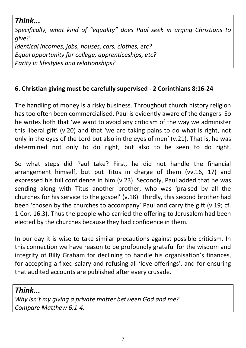*Think... Specifically, what kind of "equality" does Paul seek in urging Christians to give? Identical incomes, jobs, houses, cars, clothes, etc? Equal opportunity for college, apprenticeships, etc? Parity in lifestyles and relationships?*

#### **6. Christian giving must be carefully supervised - 2 Corinthians 8:16-24**

The handling of money is a risky business. Throughout church history religion has too often been commercialised. Paul is evidently aware of the dangers. So he writes both that 'we want to avoid any criticism of the way we administer this liberal gift' (v.20) and that 'we are taking pains to do what is right, not only in the eyes of the Lord but also in the eyes of men' (v.21). That is, he was determined not only to do right, but also to be seen to do right.

So what steps did Paul take? First, he did not handle the financial arrangement himself, but put Titus in charge of them (vv.16, 17) and expressed his full confidence in him (v.23). Secondly, Paul added that he was sending along with Titus another brother, who was 'praised by all the churches for his service to the gospel' (v.18). Thirdly, this second brother had been 'chosen by the churches to accompany' Paul and carry the gift (v.19; cf. 1 Cor. 16:3). Thus the people who carried the offering to Jerusalem had been elected by the churches because they had confidence in them.

In our day it is wise to take similar precautions against possible criticism. In this connection we have reason to be profoundly grateful for the wisdom and integrity of Billy Graham for declining to handle his organisation's finances, for accepting a fixed salary and refusing all 'love offerings', and for ensuring that audited accounts are published after every crusade.

#### *Think...*

*Why isn't my giving a private matter between God and me? Compare Matthew 6:1-4.*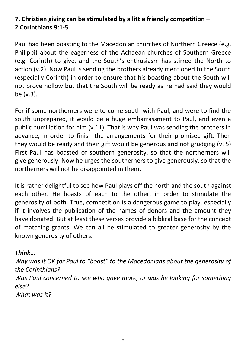# **7. Christian giving can be stimulated by a little friendly competition – 2 Corinthians 9:1-5**

Paul had been boasting to the Macedonian churches of Northern Greece (e.g. Philippi) about the eagerness of the Achaean churches of Southern Greece (e.g. Corinth) to give, and the South's enthusiasm has stirred the North to action (v.2). Now Paul is sending the brothers already mentioned to the South (especially Corinth) in order to ensure that his boasting about the South will not prove hollow but that the South will be ready as he had said they would be (v.3).

For if some northerners were to come south with Paul, and were to find the south unprepared, it would be a huge embarrassment to Paul, and even a public humiliation for him (v.11). That is why Paul was sending the brothers in advance, in order to finish the arrangements for their promised gift. Then they would be ready and their gift would be generous and not grudging (v. 5) First Paul has boasted of southern generosity, so that the northerners will give generously. Now he urges the southerners to give generously, so that the northerners will not be disappointed in them.

It is rather delightful to see how Paul plays off the north and the south against each other. He boasts of each to the other, in order to stimulate the generosity of both. True, competition is a dangerous game to play, especially if it involves the publication of the names of donors and the amount they have donated. But at least these verses provide a biblical base for the concept of matching grants. We can all be stimulated to greater generosity by the known generosity of others.

*Think...*

*Why was it OK for Paul to "boast" to the Macedonians about the generosity of the Corinthians? Was Paul concerned to see who gave more, or was he looking for something else? What was it?*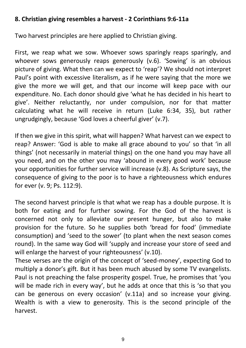#### **8. Christian giving resembles a harvest - 2 Corinthians 9:6-11a**

Two harvest principles are here applied to Christian giving.

First, we reap what we sow. Whoever sows sparingly reaps sparingly, and whoever sows generously reaps generously (v.6). 'Sowing' is an obvious picture of giving. What then can we expect to 'reap'? We should not interpret Paul's point with excessive literalism, as if he were saying that the more we give the more we will get, and that our income will keep pace with our expenditure. No. Each donor should give 'what he has decided in his heart to give'. Neither reluctantly, nor under compulsion, nor for that matter calculating what he will receive in return (Luke 6:34, 35), but rather ungrudgingly, because 'God loves a cheerful giver' (v.7).

If then we give in this spirit, what will happen? What harvest can we expect to reap? Answer: 'God is able to make all grace abound to you' so that 'in all things' (not necessarily in material things) on the one hand you may have all you need, and on the other you may 'abound in every good work' because your opportunities for further service will increase (v.8). As Scripture says, the consequence of giving to the poor is to have a righteousness which endures for ever (v. 9; Ps. 112:9).

The second harvest principle is that what we reap has a double purpose. It is both for eating and for further sowing. For the God of the harvest is concerned not only to alleviate our present hunger, but also to make provision for the future. So he supplies both 'bread for food' (immediate consumption) and 'seed to the sower' (to plant when the next season comes round). In the same way God will 'supply and increase your store of seed and will enlarge the harvest of your righteousness' (v.10).

These verses are the origin of the concept of 'seed-money', expecting God to multiply a donor's gift. But it has been much abused by some TV evangelists. Paul is not preaching the false prosperity gospel. True, he promises that 'you will be made rich in every way', but he adds at once that this is 'so that you can be generous on every occasion' (v.11a) and so increase your giving. Wealth is with a view to generosity. This is the second principle of the harvest.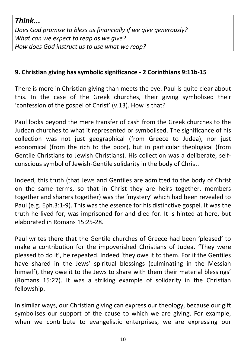# *Think...*

*Does God promise to bless us financially if we give generously? What can we expect to reap as we give? How does God instruct us to use what we reap?*

#### **9. Christian giving has symbolic significance - 2 Corinthians 9:11b-15**

There is more in Christian giving than meets the eye. Paul is quite clear about this. In the case of the Greek churches, their giving symbolised their 'confession of the gospel of Christ' (v.13). How is that?

Paul looks beyond the mere transfer of cash from the Greek churches to the Judean churches to what it represented or symbolised. The significance of his collection was not just geographical (from Greece to Judea), nor just economical (from the rich to the poor), but in particular theological (from Gentile Christians to Jewish Christians). His collection was a deliberate, selfconscious symbol of Jewish-Gentile solidarity in the body of Christ.

Indeed, this truth (that Jews and Gentiles are admitted to the body of Christ on the same terms, so that in Christ they are heirs together, members together and sharers together) was the 'mystery' which had been revealed to Paul (e.g. Eph.3:1-9). This was the essence for his distinctive gospel. It was the truth he lived for, was imprisoned for and died for. It is hinted at here, but elaborated in Romans 15:25-28.

Paul writes there that the Gentile churches of Greece had been 'pleased' to make a contribution for the impoverished Christians of Judea. "They were pleased to do it', he repeated. Indeed 'they owe it to them. For if the Gentiles have shared in the Jews' spiritual blessings (culminating in the Messiah himself), they owe it to the Jews to share with them their material blessings' (Romans 15:27). It was a striking example of solidarity in the Christian fellowship.

In similar ways, our Christian giving can express our theology, because our gift symbolises our support of the cause to which we are giving. For example, when we contribute to evangelistic enterprises, we are expressing our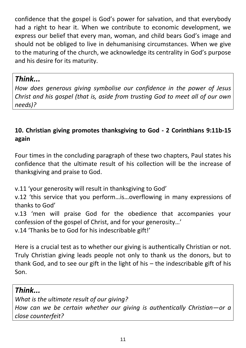confidence that the gospel is God's power for salvation, and that everybody had a right to hear it. When we contribute to economic development, we express our belief that every man, woman, and child bears God's image and should not be obliged to live in dehumanising circumstances. When we give to the maturing of the church, we acknowledge its centrality in God's purpose and his desire for its maturity.

# *Think...*

*How does generous giving symbolise our confidence in the power of Jesus Christ and his gospel (that is, aside from trusting God to meet all of our own needs)?*

# **10. Christian giving promotes thanksgiving to God - 2 Corinthians 9:11b-15 again**

Four times in the concluding paragraph of these two chapters, Paul states his confidence that the ultimate result of his collection will be the increase of thanksgiving and praise to God.

v.11 'your generosity will result in thanksgiving to God'

v.12 'this service that you perform…is…overflowing in many expressions of thanks to God'

v.13 'men will praise God for the obedience that accompanies your confession of the gospel of Christ, and for your generosity…'

v.14 'Thanks be to God for his indescribable gift!'

Here is a crucial test as to whether our giving is authentically Christian or not. Truly Christian giving leads people not only to thank us the donors, but to thank God, and to see our gift in the light of his – the indescribable gift of his Son.

# *Think...*

*What is the ultimate result of our giving? How can we be certain whether our giving is authentically Christian—or a close counterfeit?*